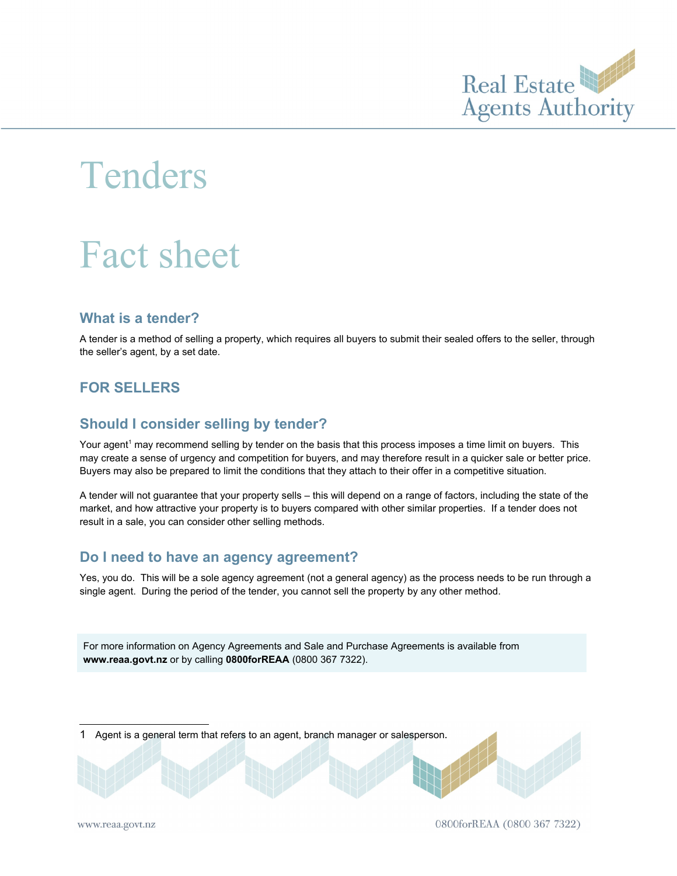

# Tenders

# Fact sheet

#### **What is a tender?**

A tender is a method of selling a property, which requires all buyers to submit their sealed offers to the seller, through the seller's agent, by a set date.

# **FOR SELLERS**

#### **Should I consider selling by tender?**

Your agent<sup>[1](#page-0-0)</sup> may recommend selling by tender on the basis that this process imposes a time limit on buyers. This may create a sense of urgency and competition for buyers, and may therefore result in a quicker sale or better price. Buyers may also be prepared to limit the conditions that they attach to their offer in a competitive situation.

A tender will not guarantee that your property sells – this will depend on a range of factors, including the state of the market, and how attractive your property is to buyers compared with other similar properties. If a tender does not result in a sale, you can consider other selling methods.

#### **Do I need to have an agency agreement?**

Yes, you do. This will be a sole agency agreement (not a general agency) as the process needs to be run through a single agent. During the period of the tender, you cannot sell the property by any other method.

For more information on Agency Agreements and Sale and Purchase Agreements is available from **www.reaa.govt.nz** or by calling **0800forREAA** (0800 367 7322).

<span id="page-0-0"></span>1 Agent is a general term that refers to an agent, branch manager or salesperson.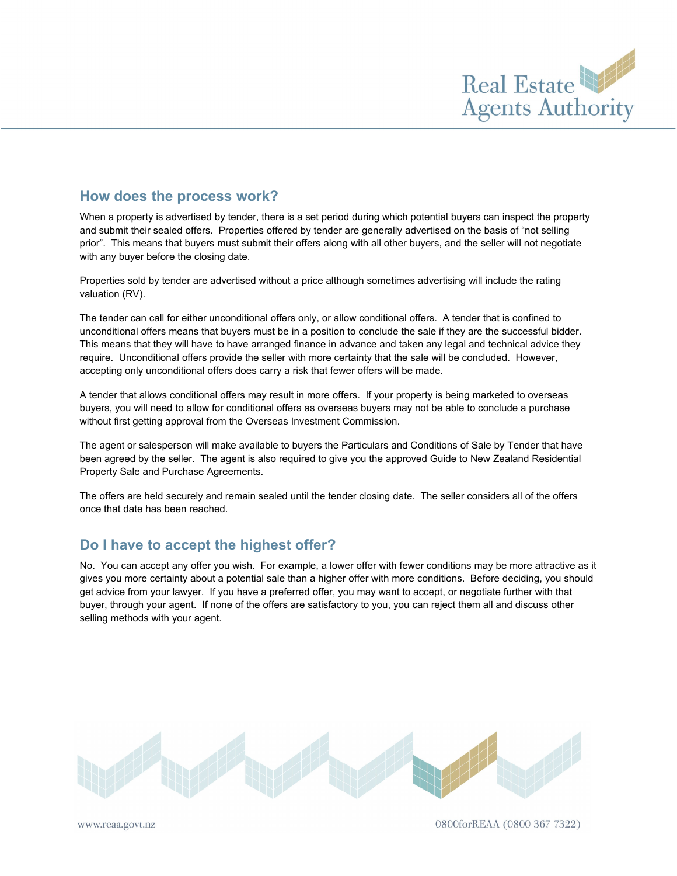

#### **How does the process work?**

When a property is advertised by tender, there is a set period during which potential buyers can inspect the property and submit their sealed offers. Properties offered by tender are generally advertised on the basis of "not selling prior". This means that buyers must submit their offers along with all other buyers, and the seller will not negotiate with any buyer before the closing date.

Properties sold by tender are advertised without a price although sometimes advertising will include the rating valuation (RV).

The tender can call for either unconditional offers only, or allow conditional offers. A tender that is confined to unconditional offers means that buyers must be in a position to conclude the sale if they are the successful bidder. This means that they will have to have arranged finance in advance and taken any legal and technical advice they require. Unconditional offers provide the seller with more certainty that the sale will be concluded. However, accepting only unconditional offers does carry a risk that fewer offers will be made.

A tender that allows conditional offers may result in more offers. If your property is being marketed to overseas buyers, you will need to allow for conditional offers as overseas buyers may not be able to conclude a purchase without first getting approval from the Overseas Investment Commission.

The agent or salesperson will make available to buyers the Particulars and Conditions of Sale by Tender that have been agreed by the seller. The agent is also required to give you the approved Guide to New Zealand Residential Property Sale and Purchase Agreements.

The offers are held securely and remain sealed until the tender closing date. The seller considers all of the offers once that date has been reached.

#### **Do I have to accept the highest offer?**

No. You can accept any offer you wish. For example, a lower offer with fewer conditions may be more attractive as it gives you more certainty about a potential sale than a higher offer with more conditions. Before deciding, you should get advice from your lawyer. If you have a preferred offer, you may want to accept, or negotiate further with that buyer, through your agent. If none of the offers are satisfactory to you, you can reject them all and discuss other selling methods with your agent.